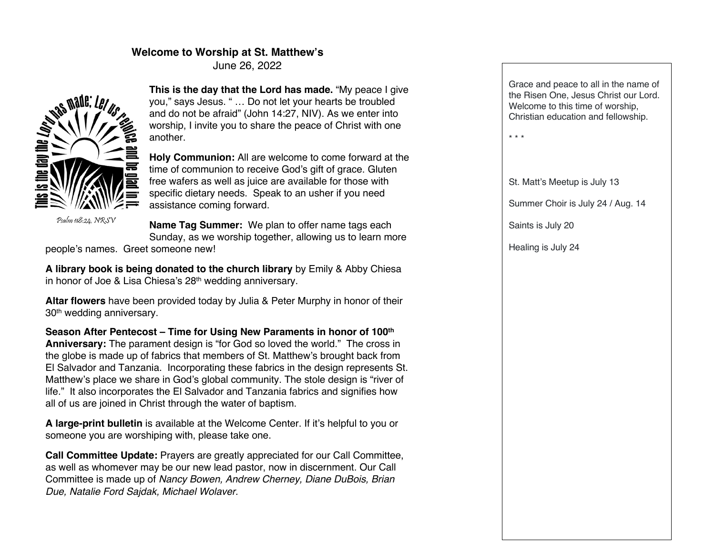### **Welcome to Worship at St. Matthew's**

June 26, 2022



Psalm 118:24, NRSV

**This is the day that the Lord has made.** "My peace I give you," says Jesus. " … Do not let your hearts be troubled and do not be afraid" (John 14:27, NIV). As we enter into worship, I invite you to share the peace of Christ with one another.

**Holy Communion:** All are welcome to come forward at the time of communion to receive God's gift of grace. Gluten free wafers as well as juice are available for those with specific dietary needs. Speak to an usher if you need assistance coming forward.

**Name Tag Summer:** We plan to offer name tags each Sunday, as we worship together, allowing us to learn more

people's names. Greet someone new!

**A library book is being donated to the church library** by Emily & Abby Chiesa in honor of Joe & Lisa Chiesa's 28<sup>th</sup> wedding anniversary.

**Altar flowers** have been provided today by Julia & Peter Murphy in honor of their 30th wedding anniversary.

**Season After Pentecost – Time for Using New Paraments in honor of 100th Anniversary:** The parament design is "for God so loved the world." The cross in the globe is made up of fabrics that members of St. Matthew's brought back from El Salvador and Tanzania. Incorporating these fabrics in the design represents St. Matthew's place we share in God's global community. The stole design is "river of life." It also incorporates the El Salvador and Tanzania fabrics and signifies how all of us are joined in Christ through the water of baptism.

**A large-print bulletin** is available at the Welcome Center. If it's helpful to you or someone you are worshiping with, please take one.

**Call Committee Update:** Prayers are greatly appreciated for our Call Committee, as well as whomever may be our new lead pastor, now in discernment. Our Call Committee is made up of *Nancy Bowen, Andrew Cherney, Diane DuBois, Brian Due, Natalie Ford Sajdak, Michael Wolaver.*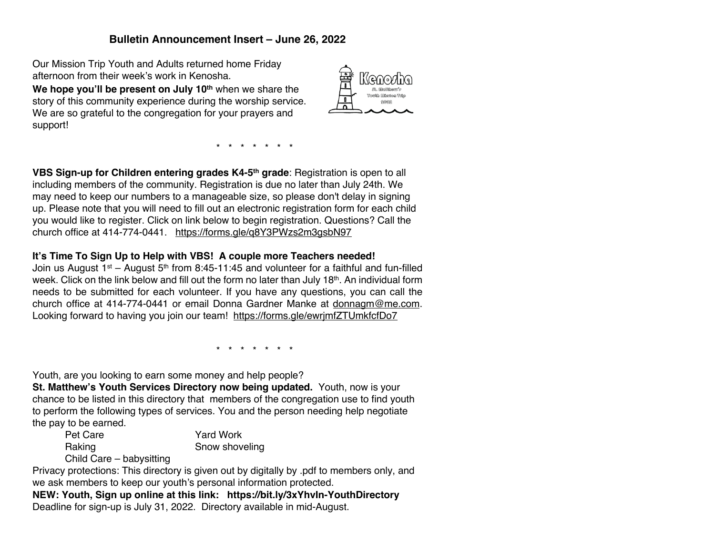# **Bulletin Announcement Insert – June 26, 2022**

Our Mission Trip Youth and Adults returned home Friday afternoon from their week's work in Kenosha.

**We hope you'll be present on July 10th** when we share the story of this community experience during the worship service. We are so grateful to the congregation for your prayers and support!



\* \* \* \* \* \* \*

**VBS Sign-up for Children entering grades K4-5th grade**: Registration is open to all including members of the community. Registration is due no later than July 24th. We may need to keep our numbers to a manageable size, so please don't delay in signing up. Please note that you will need to fill out an electronic registration form for each child you would like to register. Click on link below to begin registration. Questions? Call the church office at 414-774-0441. https://forms.gle/q8Y3PWzs2m3gsbN97

## **It's Time To Sign Up to Help with VBS! A couple more Teachers needed!**

Join us August  $1^{st}$  – August  $5^{th}$  from 8:45-11:45 and volunteer for a faithful and fun-filled week. Click on the link below and fill out the form no later than July 18th. An individual form needs to be submitted for each volunteer. If you have any questions, you can call the church office at 414-774-0441 or email Donna Gardner Manke at donnagm@me.com. Looking forward to having you join our team! https://forms.gle/ewrjmfZTUmkfcfDo7

\* \* \* \* \* \* \*

Youth, are you looking to earn some money and help people?

**St. Matthew's Youth Services Directory now being updated.** Youth, now is your chance to be listed in this directory that members of the congregation use to find youth to perform the following types of services. You and the person needing help negotiate the pay to be earned.

Pet Care Yard Work Raking **Snow shoveling** Snow shoveling

Child Care – babysitting

Privacy protections: This directory is given out by digitally by .pdf to members only, and we ask members to keep our youth's personal information protected.

**NEW: Youth, Sign up online at this link: https://bit.ly/3xYhvIn-YouthDirectory** Deadline for sign-up is July 31, 2022. Directory available in mid-August.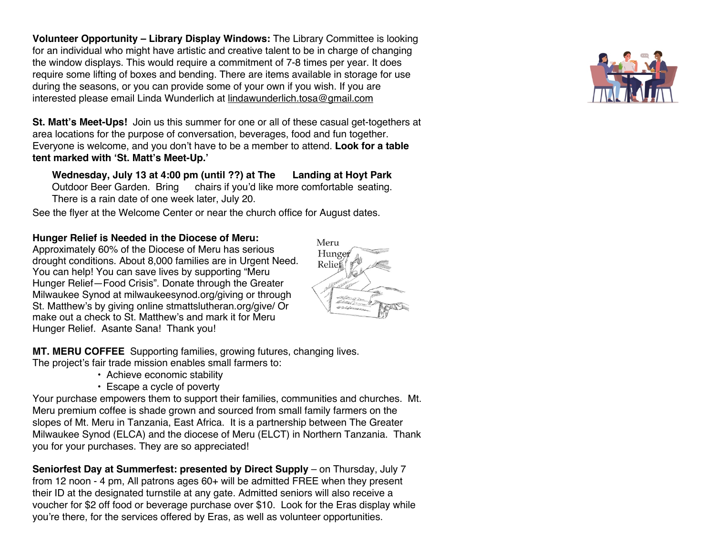**Volunteer Opportunity – Library Display Windows:** The Library Committee is looking for an individual who might have artistic and creative talent to be in charge of changing the window displays. This would require a commitment of 7-8 times per year. It does require some lifting of boxes and bending. There are items available in storage for use during the seasons, or you can provide some of your own if you wish. If you are interested please email Linda Wunderlich at lindawunderlich.tosa@gmail.com

**St. Matt's Meet-Ups!** Join us this summer for one or all of these casual get-togethers at area locations for the purpose of conversation, beverages, food and fun together. Everyone is welcome, and you don't have to be a member to attend. **Look for a table tent marked with 'St. Matt's Meet-Up.'**

**Wednesday, July 13 at 4:00 pm (until ??) at The Landing at Hoyt Park**  Outdoor Beer Garden. Bring chairs if you'd like more comfortable seating. There is a rain date of one week later, July 20.

See the flyer at the Welcome Center or near the church office for August dates.

#### **Hunger Relief is Needed in the Diocese of Meru:**

Approximately 60% of the Diocese of Meru has serious drought conditions. About 8,000 families are in Urgent Need. You can help! You can save lives by supporting "Meru Hunger Relief—Food Crisis". Donate through the Greater Milwaukee Synod at milwaukeesynod.org/giving or through St. Matthew's by giving online stmattslutheran.org/give/ Or make out a check to St. Matthew's and mark it for Meru Hunger Relief. Asante Sana! Thank you!



**MT. MERU COFFEE** Supporting families, growing futures, changing lives. The project's fair trade mission enables small farmers to:

- Achieve economic stability
- Escape a cycle of poverty

Your purchase empowers them to support their families, communities and churches. Mt. Meru premium coffee is shade grown and sourced from small family farmers on the slopes of Mt. Meru in Tanzania, East Africa. It is a partnership between The Greater Milwaukee Synod (ELCA) and the diocese of Meru (ELCT) in Northern Tanzania. Thank you for your purchases. They are so appreciated!

**Seniorfest Day at Summerfest: presented by Direct Supply** – on Thursday, July 7 from 12 noon - 4 pm, All patrons ages 60+ will be admitted FREE when they present their ID at the designated turnstile at any gate. Admitted seniors will also receive a voucher for \$2 off food or beverage purchase over \$10. Look for the Eras display while you're there, for the services offered by Eras, as well as volunteer opportunities.